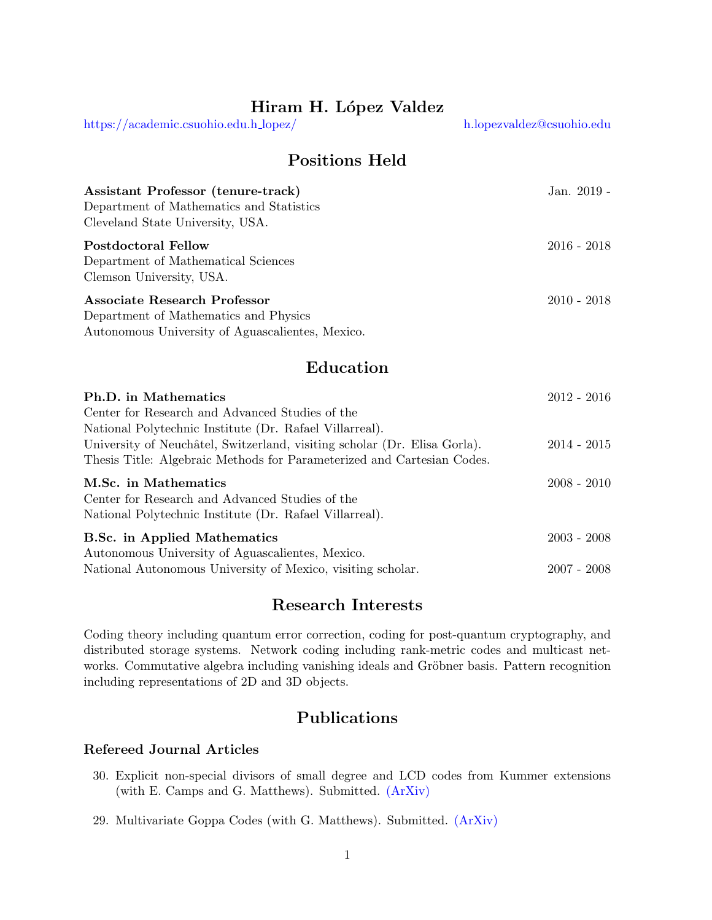# Hiram H. López Valdez

[https://academic.csuohio.edu.h](https://academic.csuohio.edu/h_lopez/) lopez/ [h.lopezvaldez@csuohio.edu](mailto:h.lopezvaldez@csuohio.edu)

Positions Held

| Assistant Professor (tenure-track)<br>Department of Mathematics and Statistics | Jan. 2019 -   |
|--------------------------------------------------------------------------------|---------------|
| Cleveland State University, USA.                                               |               |
| <b>Postdoctoral Fellow</b>                                                     | $2016 - 2018$ |
| Department of Mathematical Sciences                                            |               |
| Clemson University, USA.                                                       |               |
| Associate Research Professor                                                   | $2010 - 2018$ |
| Department of Mathematics and Physics                                          |               |

Autonomous University of Aguascalientes, Mexico.

## Education

| Ph.D. in Mathematics                                                      | $2012 - 2016$ |  |
|---------------------------------------------------------------------------|---------------|--|
| Center for Research and Advanced Studies of the                           |               |  |
| National Polytechnic Institute (Dr. Rafael Villarreal).                   |               |  |
| University of Neuchâtel, Switzerland, visiting scholar (Dr. Elisa Gorla). | $2014 - 2015$ |  |
| Thesis Title: Algebraic Methods for Parameterized and Cartesian Codes.    |               |  |
| M.Sc. in Mathematics                                                      | $2008 - 2010$ |  |
| Center for Research and Advanced Studies of the                           |               |  |
| National Polytechnic Institute (Dr. Rafael Villarreal).                   |               |  |
| <b>B.Sc.</b> in Applied Mathematics                                       | $2003 - 2008$ |  |
| Autonomous University of Aguascalientes, Mexico.                          |               |  |
| National Autonomous University of Mexico, visiting scholar.               | $2007 - 2008$ |  |

## Research Interests

Coding theory including quantum error correction, coding for post-quantum cryptography, and distributed storage systems. Network coding including rank-metric codes and multicast networks. Commutative algebra including vanishing ideals and Gröbner basis. Pattern recognition including representations of 2D and 3D objects.

# Publications

### Refereed Journal Articles

- 30. Explicit non-special divisors of small degree and LCD codes from Kummer extensions (with E. Camps and G. Matthews). Submitted. [\(ArXiv\)](https://arxiv.org/pdf/2112.13424.pdf)
- 29. Multivariate Goppa Codes (with G. Matthews). Submitted. [\(ArXiv\)](https://arxiv.org/pdf/2112.06325.pdf)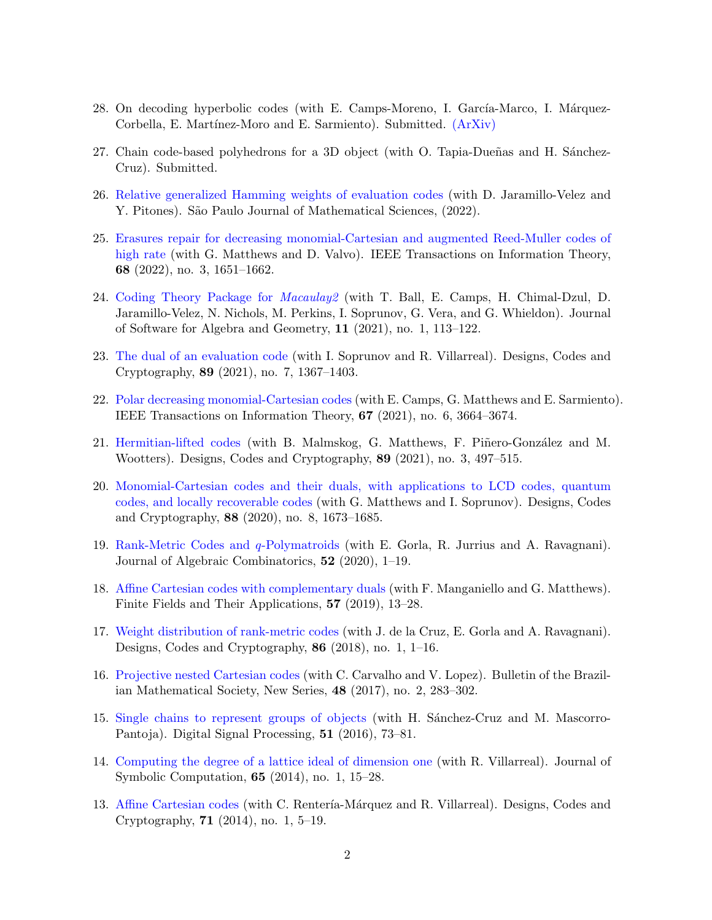- 28. On decoding hyperbolic codes (with E. Camps-Moreno, I. García-Marco, I. Márquez-Corbella, E. Martínez-Moro and E. Sarmiento). Submitted. [\(ArXiv\)](https://arxiv.org/pdf/2107.12594.pdf)
- 27. Chain code-based polyhedrons for a 3D object (with O. Tapia-Dueñas and H. Sánchez-Cruz). Submitted.
- 26. [Relative generalized Hamming weights of evaluation codes](https://rdcu.be/cMpHo) (with D. Jaramillo-Velez and Y. Pitones). São Paulo Journal of Mathematical Sciences,  $(2022)$ .
- 25. [Erasures repair for decreasing monomial-Cartesian and augmented Reed-Muller codes of](https://doi.org/10.1109/TIT.2021.3130096) [high rate](https://doi.org/10.1109/TIT.2021.3130096) (with G. Matthews and D. Valvo). IEEE Transactions on Information Theory, 68 (2022), no. 3, 1651–1662.
- 24. [Coding Theory Package for](https://doi.org/10.2140/jsag.2021.11.113) Macaulay2 (with T. Ball, E. Camps, H. Chimal-Dzul, D. Jaramillo-Velez, N. Nichols, M. Perkins, I. Soprunov, G. Vera, and G. Whieldon). Journal of Software for Algebra and Geometry, 11 (2021), no. 1, 113–122.
- 23. [The dual of an evaluation code](https://rdcu.be/cjon5) (with I. Soprunov and R. Villarreal). Designs, Codes and Cryptography, 89 (2021), no. 7, 1367–1403.
- 22. [Polar decreasing monomial-Cartesian codes](https://doi.org/10.1109/TIT.2020.3047624) (with E. Camps, G. Matthews and E. Sarmiento). IEEE Transactions on Information Theory, 67 (2021), no. 6, 3664–3674.
- 21. [Hermitian-lifted codes](https://rdcu.be/cdtbP) (with B. Malmskog, G. Matthews, F. Piñero-González and M. Wootters). Designs, Codes and Cryptography, 89 (2021), no. 3, 497–515.
- 20. [Monomial-Cartesian codes and their duals, with applications to LCD codes, quantum](https://rdcu.be/b1njv) [codes, and locally recoverable codes](https://rdcu.be/b1njv) (with G. Matthews and I. Soprunov). Designs, Codes and Cryptography, 88 (2020), no. 8, 1673–1685.
- 19. [Rank-Metric Codes and](https://rdcu.be/bDbPa) q-Polymatroids (with E. Gorla, R. Jurrius and A. Ravagnani). Journal of Algebraic Combinatorics, 52 (2020), 1–19.
- 18. [Affine Cartesian codes with complementary duals](https://doi.org/10.1016/j.ffa.2019.01.004) (with F. Manganiello and G. Matthews). Finite Fields and Their Applications, 57 (2019), 13–28.
- 17. [Weight distribution of rank-metric codes](http://rdcu.be/ouh5) (with J. de la Cruz, E. Gorla and A. Ravagnani). Designs, Codes and Cryptography, 86 (2018), no. 1, 1–16.
- 16. [Projective nested Cartesian codes](https://rdcu.be/ck7x7) (with C. Carvalho and V. Lopez). Bulletin of the Brazilian Mathematical Society, New Series, 48 (2017), no. 2, 283–302.
- 15. [Single chains to represent groups of objects](https://doi.org/10.1016/j.dsp.2016.01.007) (with H. Sanchez-Cruz and M. Mascorro-Pantoja). Digital Signal Processing, 51 (2016), 73–81.
- 14. [Computing the degree of a lattice ideal of dimension one](https://doi.org/10.1016/j.jsc.2014.01.002) (with R. Villarreal). Journal of Symbolic Computation, 65 (2014), no. 1, 15–28.
- 13. [Affine Cartesian codes](https://rdcu.be/ck7xZ) (with C. Rentería-Márquez and R. Villarreal). Designs, Codes and Cryptography, 71 (2014), no. 1, 5–19.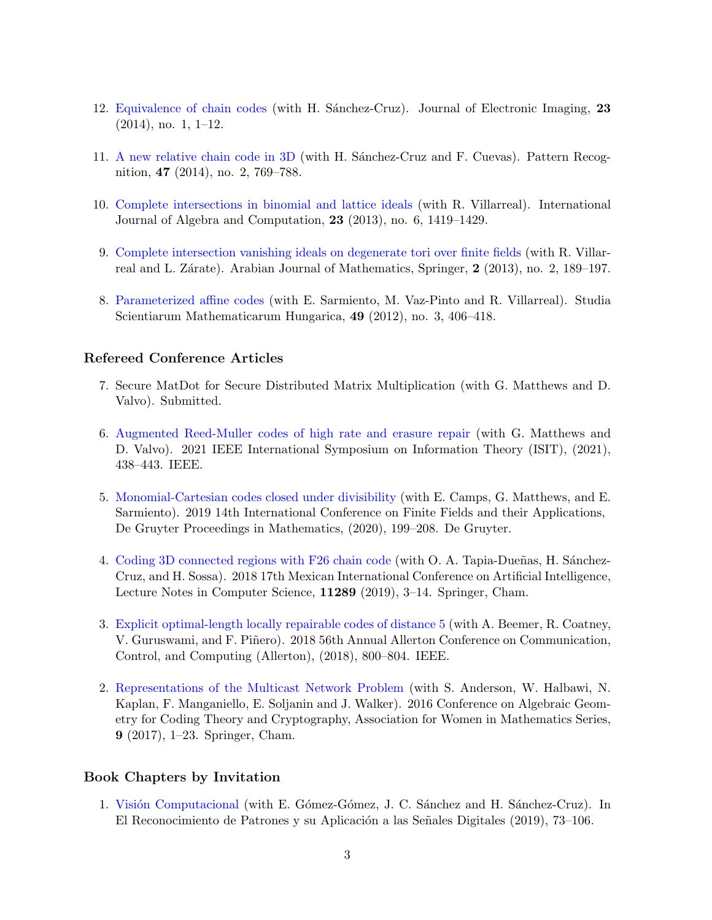- 12. [Equivalence of chain codes](https://doi.org/10.1117/1.JEI.23.1.013031) (with H. Sanchez-Cruz). Journal of Electronic Imaging, 23  $(2014)$ , no. 1, 1–12.
- 11. [A new relative chain code in 3D](https://doi.org/10.1016/j.patcog.2013.08.010) (with H. Sanchez-Cruz and F. Cuevas). Pattern Recognition, 47 (2014), no. 2, 769–788.
- 10. [Complete intersections in binomial and lattice ideals](https://doi.org/10.1142/S0218196713500288) (with R. Villarreal). International Journal of Algebra and Computation, 23 (2013), no. 6, 1419–1429.
- 9. [Complete intersection vanishing ideals on degenerate tori over finite fields](https://link.springer.com/content/pdf/10.1007/s40065-012-0063-9.pdf) (with R. Villarreal and L. Zárate). Arabian Journal of Mathematics, Springer, 2 (2013), no. 2, 189–197.
- 8. [Parameterized affine codes](https://doi.org/10.1556/sscmath.49.2012.3.1216) (with E. Sarmiento, M. Vaz-Pinto and R. Villarreal). Studia Scientiarum Mathematicarum Hungarica, 49 (2012), no. 3, 406–418.

### Refereed Conference Articles

- 7. Secure MatDot for Secure Distributed Matrix Multiplication (with G. Matthews and D. Valvo). Submitted.
- 6. [Augmented Reed-Muller codes of high rate and erasure repair](https://doi.org/10.1109/ISIT45174.2021.9517854) (with G. Matthews and D. Valvo). 2021 IEEE International Symposium on Information Theory (ISIT), (2021), 438–443. IEEE.
- 5. [Monomial-Cartesian codes closed under divisibility](https://doi.org/10.1515/9783110621730-014) (with E. Camps, G. Matthews, and E. Sarmiento). 2019 14th International Conference on Finite Fields and their Applications, De Gruyter Proceedings in Mathematics, (2020), 199–208. De Gruyter.
- 4. [Coding 3D connected regions with F26 chain code](https://doi.org/10.1007/978-3-030-04497-8_1) (with O. A. Tapia-Dueñas, H. Sánchez-Cruz, and H. Sossa). 2018 17th Mexican International Conference on Artificial Intelligence, Lecture Notes in Computer Science, 11289 (2019), 3–14. Springer, Cham.
- 3. [Explicit optimal-length locally repairable codes of distance 5](https://doi.org/10.1109/ALLERTON.2018.8636018) (with A. Beemer, R. Coatney, V. Guruswami, and F. Piñero). 2018 56th Annual Allerton Conference on Communication, Control, and Computing (Allerton), (2018), 800–804. IEEE.
- 2. [Representations of the Multicast Network Problem](https://doi.org/10.1007/978-3-319-63931-4_1) (with S. Anderson, W. Halbawi, N. Kaplan, F. Manganiello, E. Soljanin and J. Walker). 2016 Conference on Algebraic Geometry for Coding Theory and Cryptography, Association for Women in Mathematics Series, 9 (2017), 1–23. Springer, Cham.

#### Book Chapters by Invitation

1. Visión Computacional (with E. Gómez-Gómez, J. C. Sánchez and H. Sánchez-Cruz). In El Reconocimiento de Patrones y su Aplicación a las Señales Digitales (2019),  $73-106$ .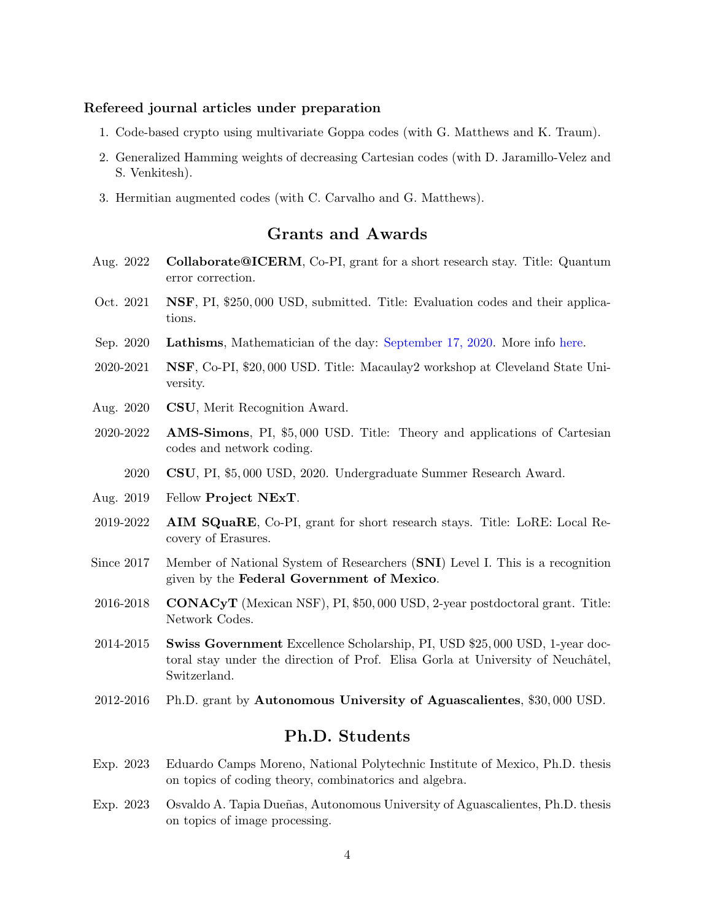#### Refereed journal articles under preparation

- 1. Code-based crypto using multivariate Goppa codes (with G. Matthews and K. Traum).
- 2. Generalized Hamming weights of decreasing Cartesian codes (with D. Jaramillo-Velez and S. Venkitesh).
- 3. Hermitian augmented codes (with C. Carvalho and G. Matthews).

## Grants and Awards

- Aug. 2022 Collaborate@ICERM, Co-PI, grant for a short research stay. Title: Quantum error correction.
- Oct. 2021 NSF, PI, \$250, 000 USD, submitted. Title: Evaluation codes and their applications.
- Sep. 2020 Lathisms, Mathematician of the day: [September 17, 2020.](https://www.lathisms.org/calendars/calendar-2020) More info [here.](https://www.lathisms.org/about)
- $2020-2021$  NSF, Co-PI, \$20,000 USD. Title: Macaulay2 workshop at Cleveland State University.
- Aug. 2020 CSU, Merit Recognition Award.
- 2020-2022 AMS-Simons, PI, \$5, 000 USD. Title: Theory and applications of Cartesian codes and network coding.
	- 2020 CSU, PI, \$5, 000 USD, 2020. Undergraduate Summer Research Award.
- Aug. 2019 Fellow Project NExT.
- 2019-2022 AIM SQuaRE, Co-PI, grant for short research stays. Title: LoRE: Local Recovery of Erasures.
- Since 2017 Member of National System of Researchers (SNI) Level I. This is a recognition given by the Federal Government of Mexico.
- $2016-2018$  **CONACYT** (Mexican NSF), PI, \$50,000 USD, 2-year postdoctoral grant. Title: Network Codes.
- 2014-2015 Swiss Government Excellence Scholarship, PI, USD \$25, 000 USD, 1-year doctoral stay under the direction of Prof. Elisa Gorla at University of Neuchâtel, Switzerland.
- 2012-2016 Ph.D. grant by Autonomous University of Aguascalientes, \$30, 000 USD.

## Ph.D. Students

- Exp. 2023 Eduardo Camps Moreno, National Polytechnic Institute of Mexico, Ph.D. thesis on topics of coding theory, combinatorics and algebra.
- Exp. 2023 Osvaldo A. Tapia Dueñas, Autonomous University of Aguascalientes, Ph.D. thesis on topics of image processing.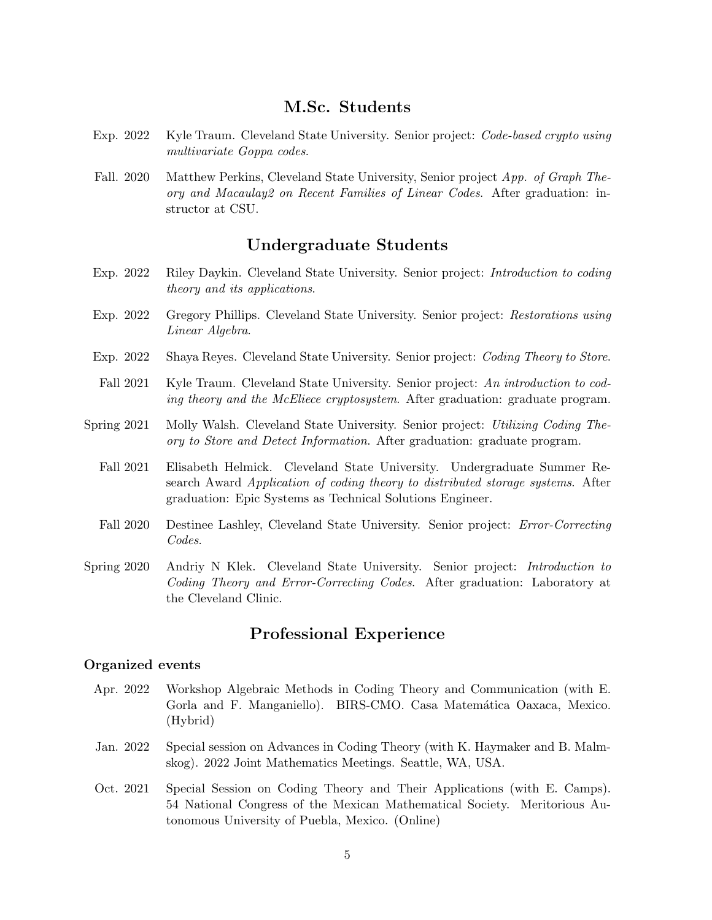## M.Sc. Students

- Exp. 2022 Kyle Traum. Cleveland State University. Senior project: Code-based crypto using multivariate Goppa codes.
- Fall. 2020 Matthew Perkins, Cleveland State University, Senior project App. of Graph Theory and Macaulay2 on Recent Families of Linear Codes. After graduation: instructor at CSU.

## Undergraduate Students

- Exp. 2022 Riley Daykin. Cleveland State University. Senior project: Introduction to coding theory and its applications.
- Exp. 2022 Gregory Phillips. Cleveland State University. Senior project: Restorations using Linear Algebra.
- Exp. 2022 Shaya Reyes. Cleveland State University. Senior project: Coding Theory to Store.
- Fall 2021 Kyle Traum. Cleveland State University. Senior project: An introduction to coding theory and the McEliece cryptosystem. After graduation: graduate program.
- Spring 2021 Molly Walsh. Cleveland State University. Senior project: Utilizing Coding Theory to Store and Detect Information. After graduation: graduate program.
	- Fall 2021 Elisabeth Helmick. Cleveland State University. Undergraduate Summer Research Award Application of coding theory to distributed storage systems. After graduation: Epic Systems as Technical Solutions Engineer.
	- Fall 2020 Destinee Lashley, Cleveland State University. Senior project: *Error-Correcting* Codes.
- Spring 2020 Andriy N Klek. Cleveland State University. Senior project: Introduction to Coding Theory and Error-Correcting Codes. After graduation: Laboratory at the Cleveland Clinic.

# Professional Experience

#### Organized events

- Apr. 2022 Workshop Algebraic Methods in Coding Theory and Communication (with E. Gorla and F. Manganiello). BIRS-CMO. Casa Matemática Oaxaca, Mexico. (Hybrid)
- Jan. 2022 Special session on Advances in Coding Theory (with K. Haymaker and B. Malmskog). 2022 Joint Mathematics Meetings. Seattle, WA, USA.
- Oct. 2021 Special Session on Coding Theory and Their Applications (with E. Camps). 54 National Congress of the Mexican Mathematical Society. Meritorious Autonomous University of Puebla, Mexico. (Online)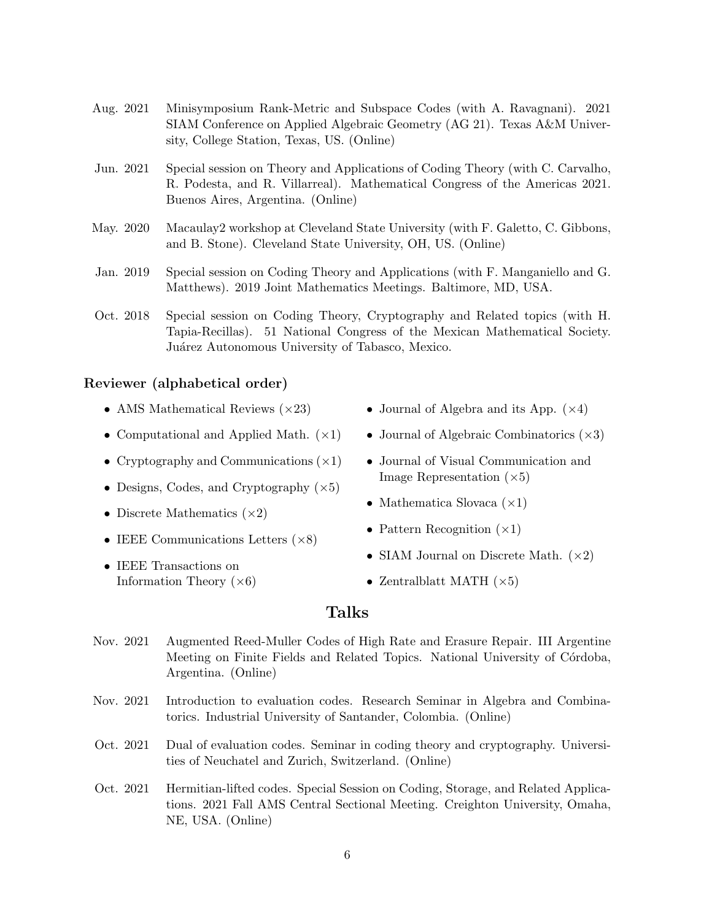- Aug. 2021 Minisymposium Rank-Metric and Subspace Codes (with A. Ravagnani). 2021 SIAM Conference on Applied Algebraic Geometry (AG 21). Texas A&M University, College Station, Texas, US. (Online)
- Jun. 2021 Special session on Theory and Applications of Coding Theory (with C. Carvalho, R. Podesta, and R. Villarreal). Mathematical Congress of the Americas 2021. Buenos Aires, Argentina. (Online)
- May. 2020 Macaulay2 workshop at Cleveland State University (with F. Galetto, C. Gibbons, and B. Stone). Cleveland State University, OH, US. (Online)
- Jan. 2019 Special session on Coding Theory and Applications (with F. Manganiello and G. Matthews). 2019 Joint Mathematics Meetings. Baltimore, MD, USA.
- Oct. 2018 Special session on Coding Theory, Cryptography and Related topics (with H. Tapia-Recillas). 51 National Congress of the Mexican Mathematical Society. Juárez Autonomous University of Tabasco, Mexico.

#### Reviewer (alphabetical order)

- AMS Mathematical Reviews  $(\times 23)$
- Computational and Applied Math.  $(\times 1)$
- Cryptography and Communications  $(\times 1)$
- Designs, Codes, and Cryptography  $(\times 5)$
- Discrete Mathematics  $(\times 2)$
- IEEE Communications Letters  $(\times 8)$
- IEEE Transactions on Information Theory  $(\times 6)$
- Journal of Algebra and its App.  $(\times 4)$
- Journal of Algebraic Combinatorics  $(\times 3)$
- Journal of Visual Communication and Image Representation  $(\times 5)$
- Mathematica Slovaca  $(\times 1)$
- Pattern Recognition  $(\times 1)$
- SIAM Journal on Discrete Math.  $(\times 2)$
- Zentralblatt MATH  $(\times 5)$

### Talks

- Nov. 2021 Augmented Reed-Muller Codes of High Rate and Erasure Repair. III Argentine Meeting on Finite Fields and Related Topics. National University of Córdoba, Argentina. (Online)
- Nov. 2021 Introduction to evaluation codes. Research Seminar in Algebra and Combinatorics. Industrial University of Santander, Colombia. (Online)
- Oct. 2021 Dual of evaluation codes. Seminar in coding theory and cryptography. Universities of Neuchatel and Zurich, Switzerland. (Online)
- Oct. 2021 Hermitian-lifted codes. Special Session on Coding, Storage, and Related Applications. 2021 Fall AMS Central Sectional Meeting. Creighton University, Omaha, NE, USA. (Online)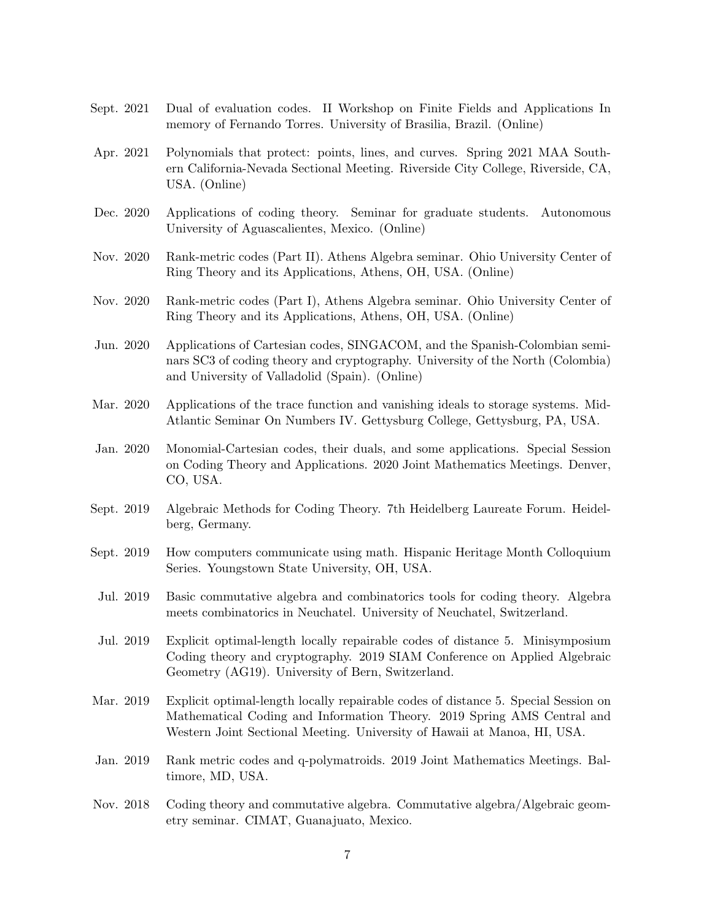- Sept. 2021 Dual of evaluation codes. II Workshop on Finite Fields and Applications In memory of Fernando Torres. University of Brasilia, Brazil. (Online)
- Apr. 2021 Polynomials that protect: points, lines, and curves. Spring 2021 MAA Southern California-Nevada Sectional Meeting. Riverside City College, Riverside, CA, USA. (Online)
- Dec. 2020 Applications of coding theory. Seminar for graduate students. Autonomous University of Aguascalientes, Mexico. (Online)
- Nov. 2020 Rank-metric codes (Part II). Athens Algebra seminar. Ohio University Center of Ring Theory and its Applications, Athens, OH, USA. (Online)
- Nov. 2020 Rank-metric codes (Part I), Athens Algebra seminar. Ohio University Center of Ring Theory and its Applications, Athens, OH, USA. (Online)

Jun. 2020 Applications of Cartesian codes, SINGACOM, and the Spanish-Colombian seminars SC3 of coding theory and cryptography. University of the North (Colombia) and University of Valladolid (Spain). (Online)

- Mar. 2020 Applications of the trace function and vanishing ideals to storage systems. Mid-Atlantic Seminar On Numbers IV. Gettysburg College, Gettysburg, PA, USA.
- Jan. 2020 Monomial-Cartesian codes, their duals, and some applications. Special Session on Coding Theory and Applications. 2020 Joint Mathematics Meetings. Denver, CO, USA.
- Sept. 2019 Algebraic Methods for Coding Theory. 7th Heidelberg Laureate Forum. Heidelberg, Germany.
- Sept. 2019 How computers communicate using math. Hispanic Heritage Month Colloquium Series. Youngstown State University, OH, USA.
- Jul. 2019 Basic commutative algebra and combinatorics tools for coding theory. Algebra meets combinatorics in Neuchatel. University of Neuchatel, Switzerland.
- Jul. 2019 Explicit optimal-length locally repairable codes of distance 5. Minisymposium Coding theory and cryptography. 2019 SIAM Conference on Applied Algebraic Geometry (AG19). University of Bern, Switzerland.
- Mar. 2019 Explicit optimal-length locally repairable codes of distance 5. Special Session on Mathematical Coding and Information Theory. 2019 Spring AMS Central and Western Joint Sectional Meeting. University of Hawaii at Manoa, HI, USA.
- Jan. 2019 Rank metric codes and q-polymatroids. 2019 Joint Mathematics Meetings. Baltimore, MD, USA.
- Nov. 2018 Coding theory and commutative algebra. Commutative algebra/Algebraic geometry seminar. CIMAT, Guanajuato, Mexico.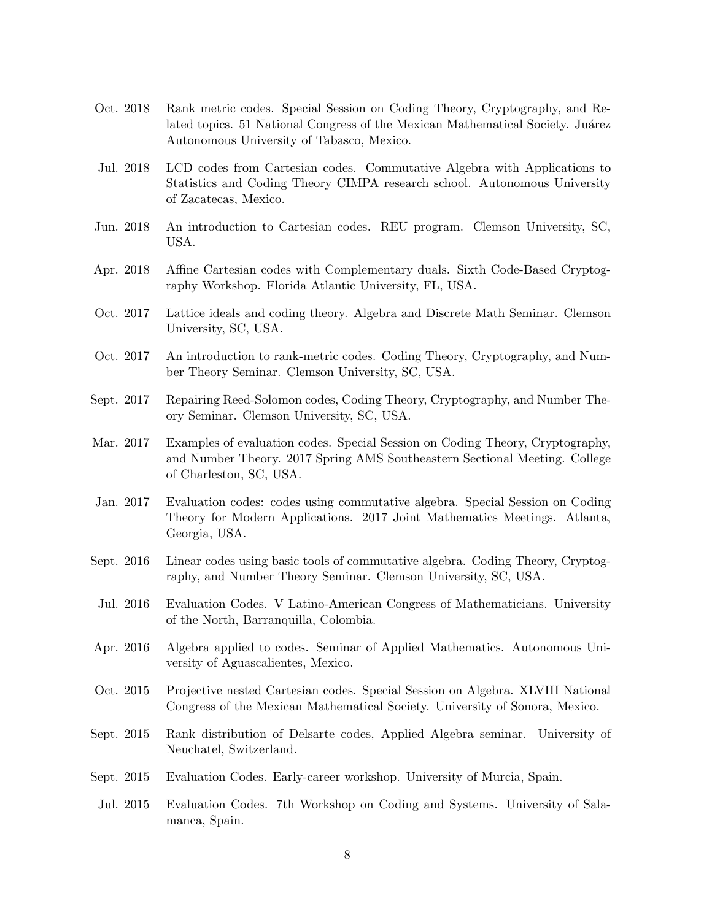- Oct. 2018 Rank metric codes. Special Session on Coding Theory, Cryptography, and Related topics. 51 National Congress of the Mexican Mathematical Society. Juárez Autonomous University of Tabasco, Mexico.
- Jul. 2018 LCD codes from Cartesian codes. Commutative Algebra with Applications to Statistics and Coding Theory CIMPA research school. Autonomous University of Zacatecas, Mexico.
- Jun. 2018 An introduction to Cartesian codes. REU program. Clemson University, SC, USA.
- Apr. 2018 Affine Cartesian codes with Complementary duals. Sixth Code-Based Cryptography Workshop. Florida Atlantic University, FL, USA.
- Oct. 2017 Lattice ideals and coding theory. Algebra and Discrete Math Seminar. Clemson University, SC, USA.
- Oct. 2017 An introduction to rank-metric codes. Coding Theory, Cryptography, and Number Theory Seminar. Clemson University, SC, USA.
- Sept. 2017 Repairing Reed-Solomon codes, Coding Theory, Cryptography, and Number Theory Seminar. Clemson University, SC, USA.
- Mar. 2017 Examples of evaluation codes. Special Session on Coding Theory, Cryptography, and Number Theory. 2017 Spring AMS Southeastern Sectional Meeting. College of Charleston, SC, USA.
- Jan. 2017 Evaluation codes: codes using commutative algebra. Special Session on Coding Theory for Modern Applications. 2017 Joint Mathematics Meetings. Atlanta, Georgia, USA.
- Sept. 2016 Linear codes using basic tools of commutative algebra. Coding Theory, Cryptography, and Number Theory Seminar. Clemson University, SC, USA.
- Jul. 2016 Evaluation Codes. V Latino-American Congress of Mathematicians. University of the North, Barranquilla, Colombia.
- Apr. 2016 Algebra applied to codes. Seminar of Applied Mathematics. Autonomous University of Aguascalientes, Mexico.
- Oct. 2015 Projective nested Cartesian codes. Special Session on Algebra. XLVIII National Congress of the Mexican Mathematical Society. University of Sonora, Mexico.
- Sept. 2015 Rank distribution of Delsarte codes, Applied Algebra seminar. University of Neuchatel, Switzerland.
- Sept. 2015 Evaluation Codes. Early-career workshop. University of Murcia, Spain.
- Jul. 2015 Evaluation Codes. 7th Workshop on Coding and Systems. University of Salamanca, Spain.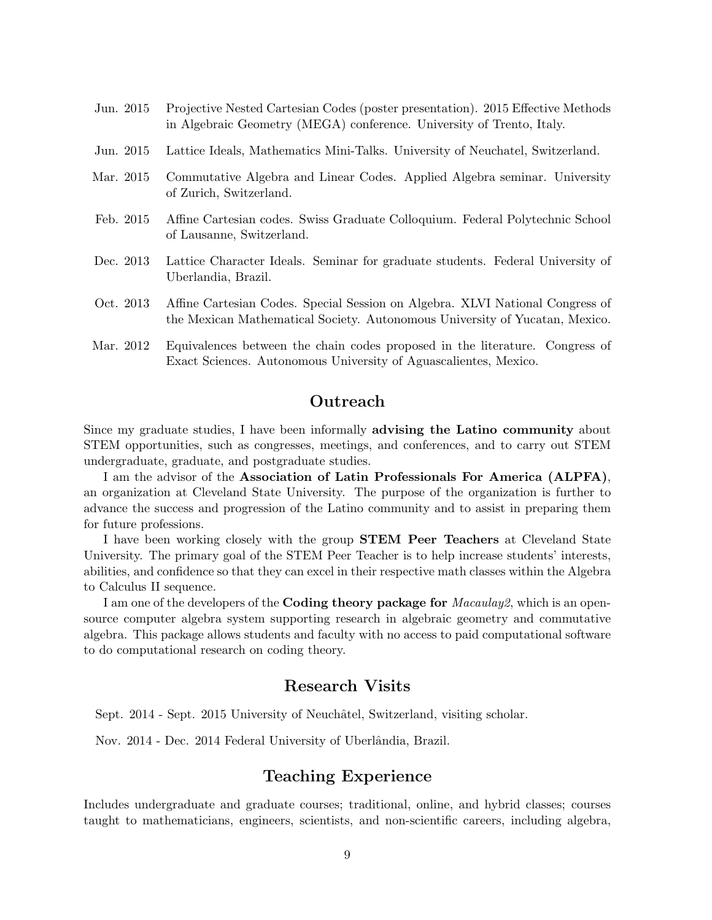- Jun. 2015 Projective Nested Cartesian Codes (poster presentation). 2015 Effective Methods in Algebraic Geometry (MEGA) conference. University of Trento, Italy.
- Jun. 2015 Lattice Ideals, Mathematics Mini-Talks. University of Neuchatel, Switzerland.
- Mar. 2015 Commutative Algebra and Linear Codes. Applied Algebra seminar. University of Zurich, Switzerland.
- Feb. 2015 Affine Cartesian codes. Swiss Graduate Colloquium. Federal Polytechnic School of Lausanne, Switzerland.
- Dec. 2013 Lattice Character Ideals. Seminar for graduate students. Federal University of Uberlandia, Brazil.
- Oct. 2013 Affine Cartesian Codes. Special Session on Algebra. XLVI National Congress of the Mexican Mathematical Society. Autonomous University of Yucatan, Mexico.
- Mar. 2012 Equivalences between the chain codes proposed in the literature. Congress of Exact Sciences. Autonomous University of Aguascalientes, Mexico.

### **Outreach**

Since my graduate studies, I have been informally advising the Latino community about STEM opportunities, such as congresses, meetings, and conferences, and to carry out STEM undergraduate, graduate, and postgraduate studies.

I am the advisor of the Association of Latin Professionals For America (ALPFA), an organization at Cleveland State University. The purpose of the organization is further to advance the success and progression of the Latino community and to assist in preparing them for future professions.

I have been working closely with the group STEM Peer Teachers at Cleveland State University. The primary goal of the STEM Peer Teacher is to help increase students' interests, abilities, and confidence so that they can excel in their respective math classes within the Algebra to Calculus II sequence.

I am one of the developers of the **Coding theory package for** *Macaulay2*, which is an opensource computer algebra system supporting research in algebraic geometry and commutative algebra. This package allows students and faculty with no access to paid computational software to do computational research on coding theory.

## Research Visits

Sept. 2014 - Sept. 2015 University of Neuchâtel, Switzerland, visiting scholar.

Nov. 2014 - Dec. 2014 Federal University of Uberlândia, Brazil.

### Teaching Experience

Includes undergraduate and graduate courses; traditional, online, and hybrid classes; courses taught to mathematicians, engineers, scientists, and non-scientific careers, including algebra,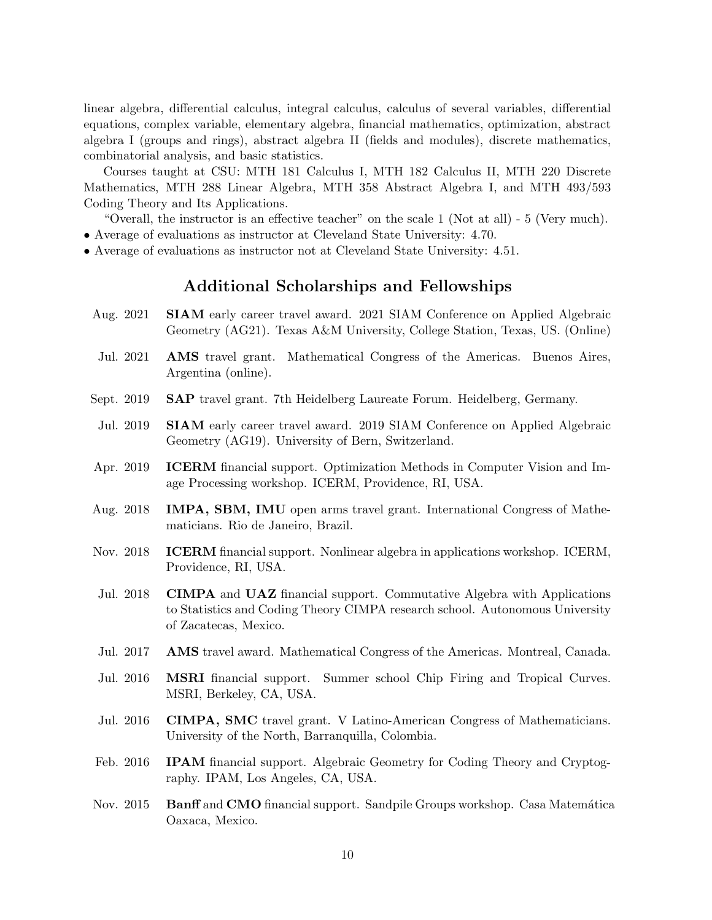linear algebra, differential calculus, integral calculus, calculus of several variables, differential equations, complex variable, elementary algebra, financial mathematics, optimization, abstract algebra I (groups and rings), abstract algebra II (fields and modules), discrete mathematics, combinatorial analysis, and basic statistics.

Courses taught at CSU: MTH 181 Calculus I, MTH 182 Calculus II, MTH 220 Discrete Mathematics, MTH 288 Linear Algebra, MTH 358 Abstract Algebra I, and MTH 493/593 Coding Theory and Its Applications.

"Overall, the instructor is an effective teacher" on the scale 1 (Not at all) - 5 (Very much).

- Average of evaluations as instructor at Cleveland State University: 4.70.
- Average of evaluations as instructor not at Cleveland State University: 4.51.

## Additional Scholarships and Fellowships

- Aug. 2021 SIAM early career travel award. 2021 SIAM Conference on Applied Algebraic Geometry (AG21). Texas A&M University, College Station, Texas, US. (Online)
- Jul. 2021 AMS travel grant. Mathematical Congress of the Americas. Buenos Aires, Argentina (online).
- Sept. 2019 SAP travel grant. 7th Heidelberg Laureate Forum. Heidelberg, Germany.
- Jul. 2019 SIAM early career travel award. 2019 SIAM Conference on Applied Algebraic Geometry (AG19). University of Bern, Switzerland.
- Apr. 2019 ICERM financial support. Optimization Methods in Computer Vision and Image Processing workshop. ICERM, Providence, RI, USA.
- Aug. 2018 IMPA, SBM, IMU open arms travel grant. International Congress of Mathematicians. Rio de Janeiro, Brazil.
- Nov. 2018 **ICERM** financial support. Nonlinear algebra in applications workshop. ICERM, Providence, RI, USA.
- Jul. 2018 CIMPA and UAZ financial support. Commutative Algebra with Applications to Statistics and Coding Theory CIMPA research school. Autonomous University of Zacatecas, Mexico.
- Jul. 2017 AMS travel award. Mathematical Congress of the Americas. Montreal, Canada.
- Jul. 2016 MSRI financial support. Summer school Chip Firing and Tropical Curves. MSRI, Berkeley, CA, USA.
- Jul. 2016 CIMPA, SMC travel grant. V Latino-American Congress of Mathematicians. University of the North, Barranquilla, Colombia.
- Feb. 2016 **IPAM** financial support. Algebraic Geometry for Coding Theory and Cryptography. IPAM, Los Angeles, CA, USA.
- Nov. 2015 Banff and CMO financial support. Sandpile Groups workshop. Casa Matemática Oaxaca, Mexico.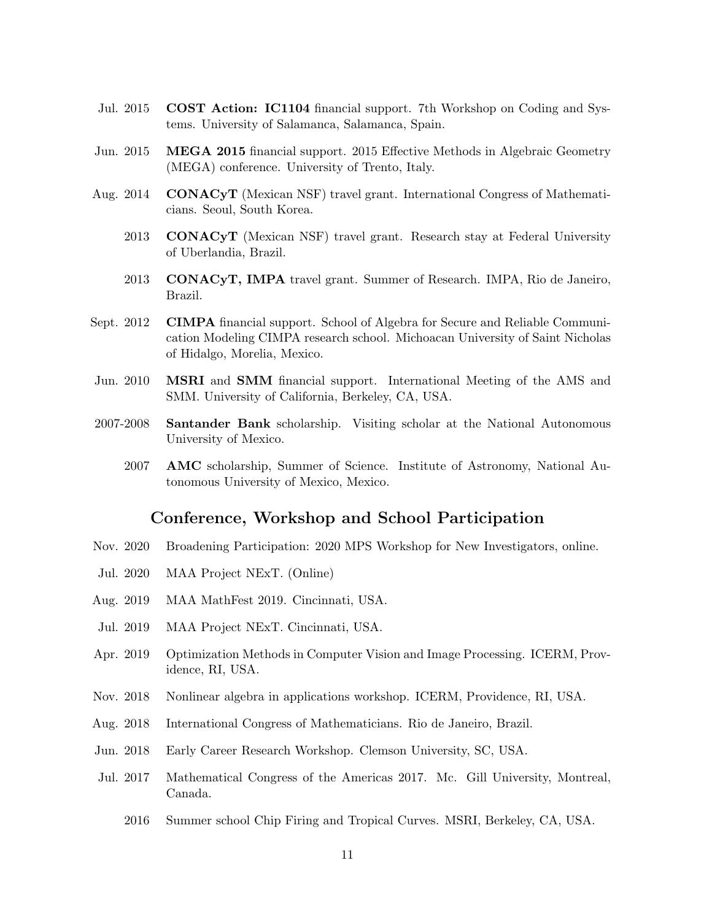- Jul. 2015 COST Action: IC1104 financial support. 7th Workshop on Coding and Systems. University of Salamanca, Salamanca, Spain.
- Jun. 2015 MEGA 2015 financial support. 2015 Effective Methods in Algebraic Geometry (MEGA) conference. University of Trento, Italy.
- Aug. 2014 CONACyT (Mexican NSF) travel grant. International Congress of Mathematicians. Seoul, South Korea.
	- 2013 CONACyT (Mexican NSF) travel grant. Research stay at Federal University of Uberlandia, Brazil.
	- 2013 CONACyT, IMPA travel grant. Summer of Research. IMPA, Rio de Janeiro, Brazil.
- Sept. 2012 CIMPA financial support. School of Algebra for Secure and Reliable Communication Modeling CIMPA research school. Michoacan University of Saint Nicholas of Hidalgo, Morelia, Mexico.
- Jun. 2010 MSRI and SMM financial support. International Meeting of the AMS and SMM. University of California, Berkeley, CA, USA.
- 2007-2008 Santander Bank scholarship. Visiting scholar at the National Autonomous University of Mexico.
	- 2007 AMC scholarship, Summer of Science. Institute of Astronomy, National Autonomous University of Mexico, Mexico.

### Conference, Workshop and School Participation

- Nov. 2020 Broadening Participation: 2020 MPS Workshop for New Investigators, online.
- Jul. 2020 MAA Project NExT. (Online)
- Aug. 2019 MAA MathFest 2019. Cincinnati, USA.
- Jul. 2019 MAA Project NExT. Cincinnati, USA.
- Apr. 2019 Optimization Methods in Computer Vision and Image Processing. ICERM, Providence, RI, USA.
- Nov. 2018 Nonlinear algebra in applications workshop. ICERM, Providence, RI, USA.
- Aug. 2018 International Congress of Mathematicians. Rio de Janeiro, Brazil.
- Jun. 2018 Early Career Research Workshop. Clemson University, SC, USA.
- Jul. 2017 Mathematical Congress of the Americas 2017. Mc. Gill University, Montreal, Canada.
	- 2016 Summer school Chip Firing and Tropical Curves. MSRI, Berkeley, CA, USA.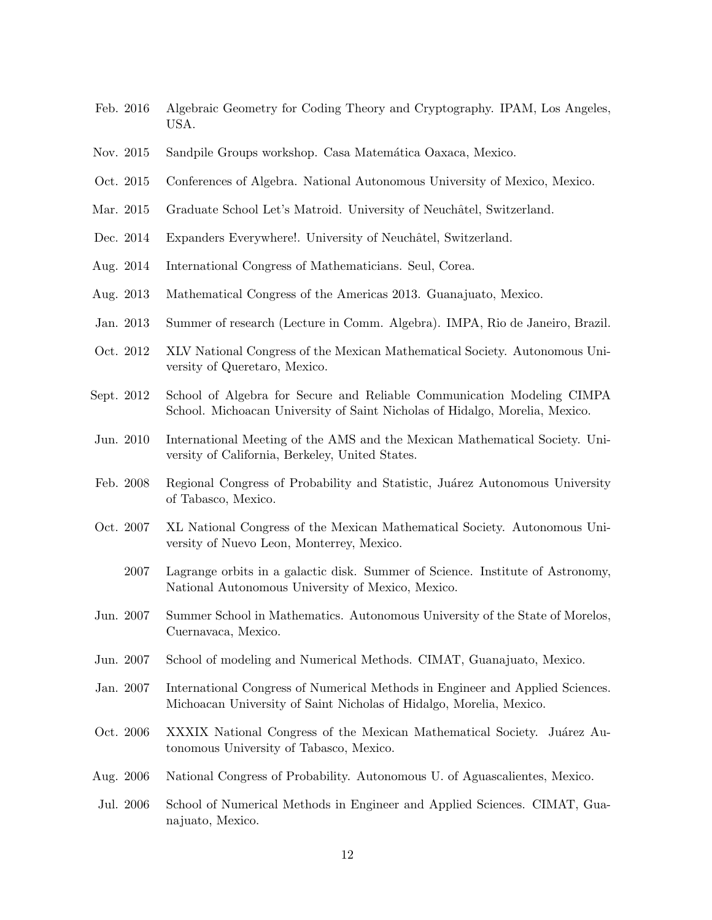- Feb. 2016 Algebraic Geometry for Coding Theory and Cryptography. IPAM, Los Angeles, USA.
- Nov. 2015 Sandpile Groups workshop. Casa Matemática Oaxaca, Mexico.
- Oct. 2015 Conferences of Algebra. National Autonomous University of Mexico, Mexico.
- Mar. 2015 Graduate School Let's Matroid. University of Neuchâtel, Switzerland.
- Dec. 2014 Expanders Everywhere!. University of Neuchâtel, Switzerland.
- Aug. 2014 International Congress of Mathematicians. Seul, Corea.
- Aug. 2013 Mathematical Congress of the Americas 2013. Guanajuato, Mexico.
- Jan. 2013 Summer of research (Lecture in Comm. Algebra). IMPA, Rio de Janeiro, Brazil.
- Oct. 2012 XLV National Congress of the Mexican Mathematical Society. Autonomous University of Queretaro, Mexico.
- Sept. 2012 School of Algebra for Secure and Reliable Communication Modeling CIMPA School. Michoacan University of Saint Nicholas of Hidalgo, Morelia, Mexico.
- Jun. 2010 International Meeting of the AMS and the Mexican Mathematical Society. University of California, Berkeley, United States.
- Feb. 2008 Regional Congress of Probability and Statistic, Juárez Autonomous University of Tabasco, Mexico.
- Oct. 2007 XL National Congress of the Mexican Mathematical Society. Autonomous University of Nuevo Leon, Monterrey, Mexico.
	- 2007 Lagrange orbits in a galactic disk. Summer of Science. Institute of Astronomy, National Autonomous University of Mexico, Mexico.
- Jun. 2007 Summer School in Mathematics. Autonomous University of the State of Morelos, Cuernavaca, Mexico.
- Jun. 2007 School of modeling and Numerical Methods. CIMAT, Guanajuato, Mexico.
- Jan. 2007 International Congress of Numerical Methods in Engineer and Applied Sciences. Michoacan University of Saint Nicholas of Hidalgo, Morelia, Mexico.
- Oct. 2006 XXXIX National Congress of the Mexican Mathematical Society. Juárez Autonomous University of Tabasco, Mexico.
- Aug. 2006 National Congress of Probability. Autonomous U. of Aguascalientes, Mexico.
- Jul. 2006 School of Numerical Methods in Engineer and Applied Sciences. CIMAT, Guanajuato, Mexico.